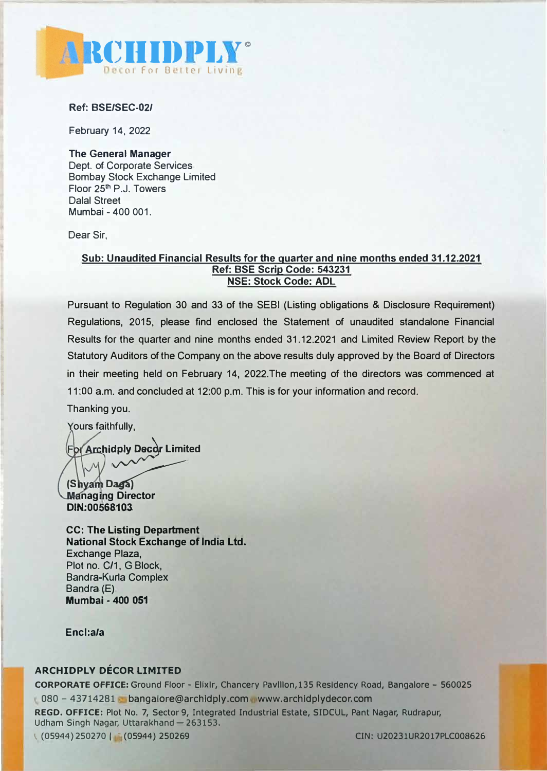

**Ref: BSE/SEC-02/** 

February 14, 2022

**The General Manager**  Dept. of Corporate Services Bombay Stock Exchange Limited Floor 25<sup>th</sup> P.J. Towers Dalal Street Mumbai - 400 001.

Dear Sir,

### **Sub: Unaudited Financial Results for the quarter and nine months ended 31.12.2021 Ref: BSE Scrip Code: 543231 NSE: Stock Code: ADL**

Pursuant to Regulation 30 and 33 of the SEBI (Listing obligations & Disclosure Requirement) Regulations, 2015, please find enclosed the Statement of unaudited standalone Financial Results for the quarter and nine months ended 31.12.2021 and Limited Review Report by the Statutory Auditors of the Company on the above results duly approved by the Board of Directors in their meeting held on February 14, 2022.The meeting of the directors was commenced at 11 :OO a.m. and concluded at 12:00 p.m. This is for your information and record.

Thanking you.

Yours faithfully,

**highland Archidply Decor Limited** 

(Shyam Daga) **Managing Director DJN.:oo sa103.** 

**CC: The Listing Department National Stock Exchange** of **India Ltd.**  Exchange Plaza, Plot no. C/1, G Block, Bandra-Kurla Complex Bandra (E) **Mumbai - 400 051** 

**Encl:a/a** 

## **ARCHIDPLY DÉCOR LIMITED**

**CORPORATE OFFICE:** Ground Floor - Ellxlr, Chancery Pavlllon,135 Residency Road, Bangalore - 560025 080 - 43714281 bangalore@archldply.com www.archldplydecor.com

REGO. OFFICE: Plot No. 7, Sector 9, Integrated Industrial Estate, SIDCUL, Pant Nagar, Rudrapur, Udham Singh Nagar, Uttarakhand - 263153. 1 (05944)250270 I · (05944) 250269 CIN: U20231UR2017PLC008626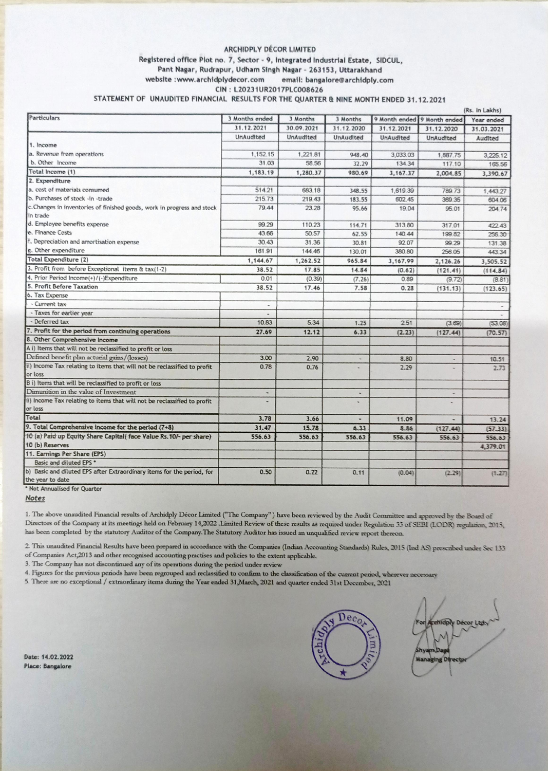#### ARCHIDPLY DÉCOR LIMITED Registered office Plot no. 7, Sector - 9, Integrated Industrial Estate, SIDCUL, Pant Nagar, Rudrapur, Udham Singh Nagar - 263153, Uttarakhand website : www.archidplydecor.com email: bangalore@archidply.com CIN: L20231UR2017PLC008626 STATEMENT OF UNAUDITED FINANCIAL RESULTS FOR THE QUARTER & NINE MONTH ENDED 31.12.2021

| Particulars                                                              | 3 Months ended           | 3 Months   | 3 Months                 |            | 9 Month ended 9 Month ended | (Rs. In Lakhs)<br>Year ended |
|--------------------------------------------------------------------------|--------------------------|------------|--------------------------|------------|-----------------------------|------------------------------|
|                                                                          | 31.12.2021               | 30.09.2021 | 31.12.2020               | 31.12.2021 | 31.12.2020                  | 31.03.2021                   |
|                                                                          | UnAudited                | UnAudited  | UnAudited                | UnAudited  | UnAudited                   |                              |
| 1. Income                                                                |                          |            |                          |            |                             | Audited                      |
| a. Revenue from operations                                               | 1,152.15                 | 1,221.81   | 948.40                   | 3,033.03   | 1.887.75                    | 3,225.12                     |
| b. Other Income                                                          | 31.03                    | 58.56      | 32.29                    | 134.34     | 117.10                      | 165.56                       |
| Total Income (1)                                                         | 1,183.19                 | 1,280.37   | 980.69                   | 3,167.37   | 2,004.85                    | 3,390.67                     |
| 2. Expenditure                                                           |                          |            |                          |            |                             |                              |
| a. cost of materials consumed                                            | 514.21                   | 683.18     | 348.55                   | 1,619.39   | 789.73                      | 1,443.27                     |
| b. Purchases of stock -in -trade                                         | 215.73                   | 219.43     | 183.55                   | 602.45     | 369.35                      | 604.06                       |
| c.Changes in inventories of finished goods, work in progress and stock   | 79.44                    | 23.28      | 95.66                    | 19.04      | 95.01                       | 204.74                       |
| in trade                                                                 |                          |            |                          |            |                             |                              |
| d. Employee benefits expense                                             | 99.29                    | 110.23     | 114.71                   | 313.80     | 317.01                      | 422.43                       |
| e. Finance Costs                                                         | 43.66                    | 50.57      | 62.55                    | 140.44     | 199.82                      | 256.30                       |
| f. Depreciation and amortisation expense                                 | 30.43                    | 31.36      | 30.81                    | 92.07      | 99.29                       | 131.38                       |
| g. Other expenditure                                                     | 161.91                   | 144.46     | 130.01                   | 380.80     | 256.05                      | 443.34                       |
| Total Expenditure (2)                                                    | 1,144.67                 | 1,262.52   | 965.84                   | 3,167.99   | 2,126.26                    | 3,505.52                     |
| 3. Profit from before Exceptional items & tax(1-2)                       | 38.52                    | 17.85      | 14.84                    | (0.62)     | (121.41)                    | (114.84)                     |
| 4. Prior Period Income(+)/(-)Expenditure                                 | 0.01                     | (0.39)     | (7.26)                   | 0.89       | (9.72)                      | (8.81)                       |
| 5. Profit Before Taxation                                                | 38.52                    | 17.46      | 7.58                     | 0.28       | (131.13)                    | (123.65)                     |
| 6. Tax Expense                                                           |                          |            |                          |            |                             |                              |
| - Current tax                                                            | $\overline{a}$           |            |                          |            |                             |                              |
| - Taxes for earlier year                                                 | $\overline{\phantom{a}}$ |            |                          |            |                             |                              |
| - Deferred tax                                                           | 10.83                    | 5.34       | 1.25                     | 2.51       | (3.69)                      | (53.08)                      |
| 7. Profit for the period from continuing operations                      | 27.69                    | 12.12      | 6.33                     | (2.23)     | (127.44)                    | (70.57)                      |
| 8. Other Comprehensive Income                                            |                          |            |                          |            |                             |                              |
| A i) Items that will not be reclassified to profit or loss               |                          |            |                          |            |                             |                              |
| Defined benefit plan acturial gains/(losses)                             | 3.00                     | 2.90       | $\overline{\phantom{a}}$ | 8.80       |                             | 10.51                        |
| ii) Income Tax relating to items that will not be reclassified to profit | 0.78                     | 0.76       |                          | 2.29       |                             | 2.73                         |
| or loss                                                                  |                          |            |                          |            |                             |                              |
| B i) Items that will be reclassified to profit or loss                   |                          |            |                          |            |                             |                              |
| Dimunition in the value of Investment                                    |                          |            | ٠                        |            |                             |                              |
| ii) Income Tax relating to items that will not be reclassified to profit |                          |            |                          |            |                             |                              |
| or loss                                                                  |                          |            |                          |            |                             |                              |
| Total                                                                    | 3.78                     | 3.66       |                          | 11.09      |                             | 13.24                        |
| 9. Total Comprehensive income for the period (7+8)                       | 31.47                    | 15.78      | 6.33                     | 8.86       | (127.44)                    | (57.33)                      |
| 10 (a) Paid up Equity Share Capital(face Value Rs. 10/- per share)       | 556.63                   | 556.63     | 556.63                   | 556.63     | 556.63                      | 556.63                       |
| 10 (b) Reserves                                                          |                          |            |                          |            |                             | 4,379.01                     |
| 11. Earnings Per Share (EPS)                                             |                          |            |                          |            |                             |                              |
| Basic and diluted EPS *                                                  |                          |            |                          |            |                             |                              |
| b) Basic and diluted EPS after Extraordinary items for the period, for   | 0.50                     | 0.22       | 0.11                     | (0.04)     | (2.29)                      | (1.27)                       |
| the year to date<br>Not Annualised for Quarter                           |                          |            |                          |            |                             |                              |

Notes

1. The above unaudited Financial results of Archidply Décor Limited ("The Company") have been reviewed by the Audit Committee and approved by the Board of Directors of the Company at its meetings held on February 14,2022 .Limited Review of these results as required under Regulation 33 of SEBI (LODR) regulation, 2015, has been completed by the statutory Auditor of the Company. The Statutory Auditor has issued an unqualified review report thereon.

2. This unaudited Financial Results have been prepared in accordance with the Companies (Indian Accounting Standards) Rules, 2015 (Ind AS) prescribed under Sec 133

of Companies Act, 2013 and other recognised accounting practises and policies to the extent applicable.

3. The Company has not discontinued any of its operations during the period under review

4. Figures for the previous periods have been regrouped and reclassified to confirm to the classification of the current period, wherever necessary

5. There are no exceptional / extraordinary items during the Year ended 31, March, 2021 and quarter ended 31st December, 2021